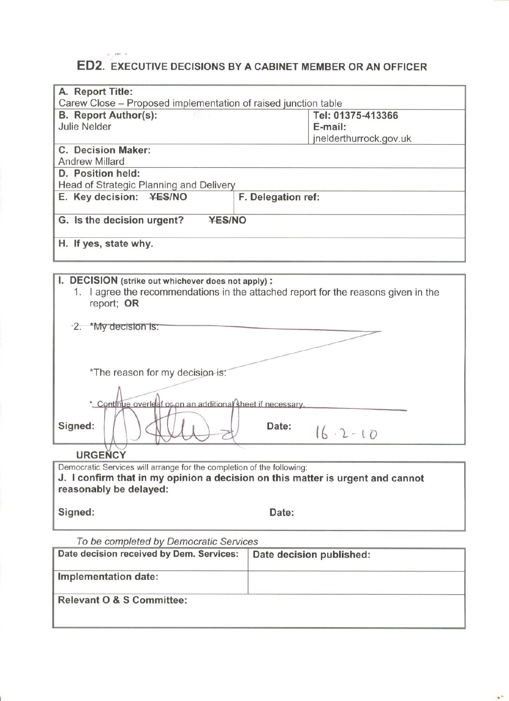# ED2. EXECUTIVE DECISIONS BY A CABINET MEMBER OR AN OFFICER

| A. Report Title:                                                                                                                                       |                        |  |  |
|--------------------------------------------------------------------------------------------------------------------------------------------------------|------------------------|--|--|
| Carew Close – Proposed implementation of raised junction table                                                                                         |                        |  |  |
| <b>B.</b> Report Author(s):                                                                                                                            | Tel: 01375-413366      |  |  |
| <b>Julie Nelder</b>                                                                                                                                    | E-mail:                |  |  |
|                                                                                                                                                        | jnelderthurrock.gov.uk |  |  |
| <b>C. Decision Maker:</b>                                                                                                                              |                        |  |  |
| <b>Andrew Millard</b>                                                                                                                                  |                        |  |  |
| D. Position held:                                                                                                                                      |                        |  |  |
| Head of Strategic Planning and Delivery                                                                                                                |                        |  |  |
| E. Key decision: ¥ES/NO                                                                                                                                | F. Delegation ref:     |  |  |
| G. Is the decision urgent?<br><b>YES/NO</b>                                                                                                            |                        |  |  |
| H. If yes, state why.                                                                                                                                  |                        |  |  |
|                                                                                                                                                        |                        |  |  |
| I. DECISION (strike out whichever does not apply):<br>1. I agree the recommendations in the attached report for the reasons given in the<br>report; OR |                        |  |  |

| -2. *My decision is:                                        |  |
|-------------------------------------------------------------|--|
| *The reason for my decision-is:                             |  |
| * Continue overleaf or on an additional sheet if necessary. |  |
| Signed:<br>Date:<br>$16.2 - 10$                             |  |
| <b>IIDCENCY</b>                                             |  |

**URGENCY** 

Democratic Services will arrange for the completion of the following: J. I confirm that in my opinion a decision on this matter is urgent and cannot reasonably be delayed:

Signed:

Date:

 $\mathbf{a}^{\mathcal{A}}$ 

To be completed by Democratic Services

| Date decision received by Dem. Services: | Date decision published: |
|------------------------------------------|--------------------------|
| Implementation date:                     |                          |
|                                          |                          |
|                                          |                          |
| <b>Relevant O &amp; S Committee:</b>     |                          |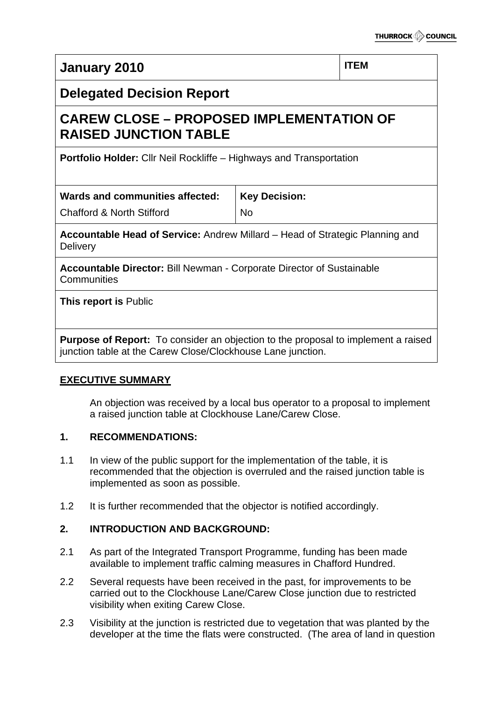**January 2010** ITEM

# **Delegated Decision Report**

# **CAREW CLOSE – PROPOSED IMPLEMENTATION OF RAISED JUNCTION TABLE**

**Portfolio Holder:** Cllr Neil Rockliffe – Highways and Transportation

| Wards and communities affected:      | <b>Key Decision:</b> |
|--------------------------------------|----------------------|
| <b>Chafford &amp; North Stifford</b> | <b>No</b>            |

**Accountable Head of Service:** Andrew Millard – Head of Strategic Planning and **Delivery** 

**Accountable Director:** Bill Newman - Corporate Director of Sustainable **Communities** 

**This report is** Public

**Purpose of Report:** To consider an objection to the proposal to implement a raised junction table at the Carew Close/Clockhouse Lane junction.

## **EXECUTIVE SUMMARY**

An objection was received by a local bus operator to a proposal to implement a raised junction table at Clockhouse Lane/Carew Close.

## **1. RECOMMENDATIONS:**

- 1.1 In view of the public support for the implementation of the table, it is recommended that the objection is overruled and the raised junction table is implemented as soon as possible.
- 1.2 It is further recommended that the objector is notified accordingly.

# **2. INTRODUCTION AND BACKGROUND:**

- 2.1 As part of the Integrated Transport Programme, funding has been made available to implement traffic calming measures in Chafford Hundred.
- 2.2 Several requests have been received in the past, for improvements to be carried out to the Clockhouse Lane/Carew Close junction due to restricted visibility when exiting Carew Close.
- 2.3 Visibility at the junction is restricted due to vegetation that was planted by the developer at the time the flats were constructed. (The area of land in question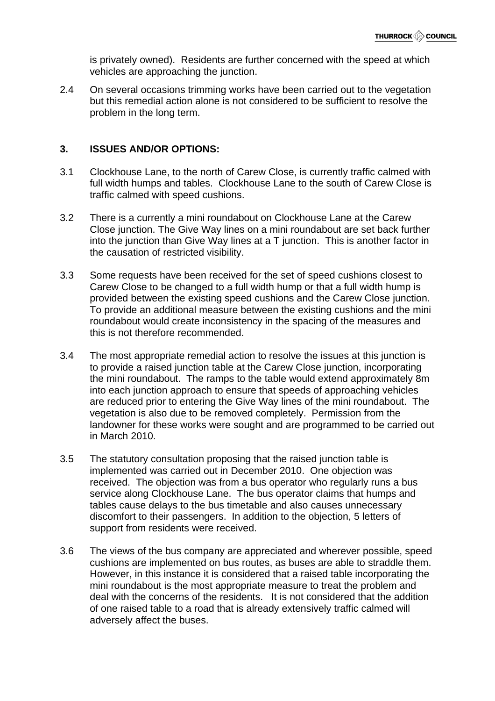is privately owned). Residents are further concerned with the speed at which vehicles are approaching the junction.

2.4 On several occasions trimming works have been carried out to the vegetation but this remedial action alone is not considered to be sufficient to resolve the problem in the long term.

#### **3. ISSUES AND/OR OPTIONS:**

- 3.1 Clockhouse Lane, to the north of Carew Close, is currently traffic calmed with full width humps and tables. Clockhouse Lane to the south of Carew Close is traffic calmed with speed cushions.
- 3.2 There is a currently a mini roundabout on Clockhouse Lane at the Carew Close junction. The Give Way lines on a mini roundabout are set back further into the junction than Give Way lines at a T junction. This is another factor in the causation of restricted visibility.
- 3.3 Some requests have been received for the set of speed cushions closest to Carew Close to be changed to a full width hump or that a full width hump is provided between the existing speed cushions and the Carew Close junction. To provide an additional measure between the existing cushions and the mini roundabout would create inconsistency in the spacing of the measures and this is not therefore recommended.
- 3.4 The most appropriate remedial action to resolve the issues at this junction is to provide a raised junction table at the Carew Close junction, incorporating the mini roundabout. The ramps to the table would extend approximately 8m into each junction approach to ensure that speeds of approaching vehicles are reduced prior to entering the Give Way lines of the mini roundabout. The vegetation is also due to be removed completely. Permission from the landowner for these works were sought and are programmed to be carried out in March 2010.
- 3.5 The statutory consultation proposing that the raised junction table is implemented was carried out in December 2010. One objection was received. The objection was from a bus operator who regularly runs a bus service along Clockhouse Lane. The bus operator claims that humps and tables cause delays to the bus timetable and also causes unnecessary discomfort to their passengers. In addition to the objection, 5 letters of support from residents were received.
- 3.6 The views of the bus company are appreciated and wherever possible, speed cushions are implemented on bus routes, as buses are able to straddle them. However, in this instance it is considered that a raised table incorporating the mini roundabout is the most appropriate measure to treat the problem and deal with the concerns of the residents. It is not considered that the addition of one raised table to a road that is already extensively traffic calmed will adversely affect the buses.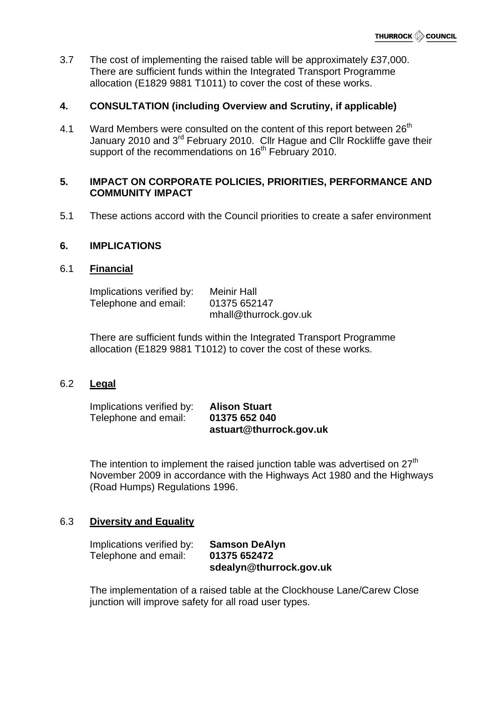3.7 The cost of implementing the raised table will be approximately £37,000. There are sufficient funds within the Integrated Transport Programme allocation (E1829 9881 T1011) to cover the cost of these works.

### **4. CONSULTATION (including Overview and Scrutiny, if applicable)**

4.1 Ward Members were consulted on the content of this report between 26<sup>th</sup> January 2010 and 3<sup>rd</sup> February 2010. Cllr Hague and Cllr Rockliffe gave their support of the recommendations on 16<sup>th</sup> February 2010.

#### **5. IMPACT ON CORPORATE POLICIES, PRIORITIES, PERFORMANCE AND COMMUNITY IMPACT**

5.1 These actions accord with the Council priorities to create a safer environment

#### **6. IMPLICATIONS**

#### 6.1 **Financial**

| Implications verified by: | <b>Meinir Hall</b>    |
|---------------------------|-----------------------|
| Telephone and email:      | 01375 652147          |
|                           | mhall@thurrock.gov.uk |

There are sufficient funds within the Integrated Transport Programme allocation (E1829 9881 T1012) to cover the cost of these works.

#### 6.2 **Legal**

Implications verified by: **Alison Stuart** Telephone and email: **01375 652 040 astuart@thurrock.gov.uk** 

The intention to implement the raised junction table was advertised on  $27<sup>th</sup>$ November 2009 in accordance with the Highways Act 1980 and the Highways (Road Humps) Regulations 1996.

#### 6.3 **Diversity and Equality**

Implications verified by: **Samson DeAlyn** Telephone and email: **01375 652472 sdealyn@thurrock.gov.uk**

The implementation of a raised table at the Clockhouse Lane/Carew Close junction will improve safety for all road user types.